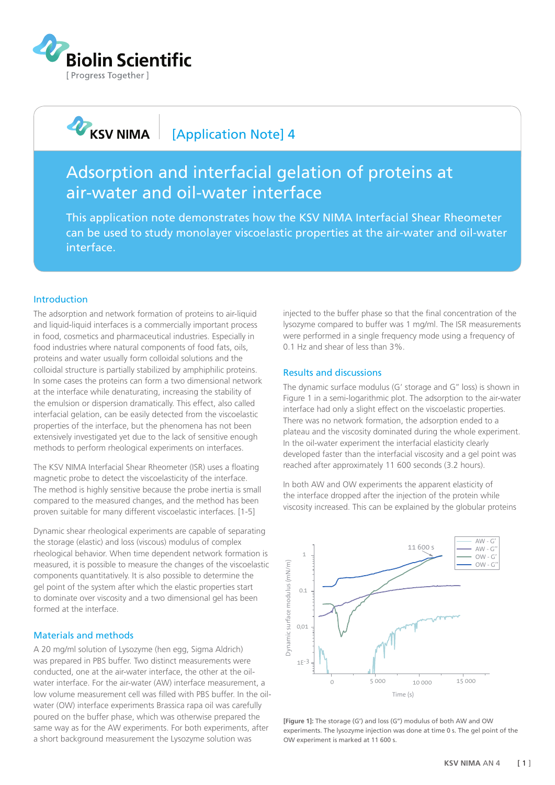

**ANA** KSV NIMA

# [Application Note] 4

# Adsorption and interfacial gelation of proteins at air-water and oil-water interface

This application note demonstrates how the KSV NIMA Interfacial Shear Rheometer can be used to study monolayer viscoelastic properties at the air-water and oil-water interface.

#### Introduction

The adsorption and network formation of proteins to air-liquid and liquid-liquid interfaces is a commercially important process in food, cosmetics and pharmaceutical industries. Especially in food industries where natural components of food fats, oils, proteins and water usually form colloidal solutions and the colloidal structure is partially stabilized by amphiphilic proteins. In some cases the proteins can form a two dimensional network at the interface while denaturating, increasing the stability of the emulsion or dispersion dramatically. This effect, also called interfacial gelation, can be easily detected from the viscoelastic properties of the interface, but the phenomena has not been extensively investigated yet due to the lack of sensitive enough methods to perform rheological experiments on interfaces.

The KSV NIMA Interfacial Shear Rheometer (ISR) uses a floating magnetic probe to detect the viscoelasticity of the interface. The method is highly sensitive because the probe inertia is small compared to the measured changes, and the method has been proven suitable for many different viscoelastic interfaces. [1-5]

Dynamic shear rheological experiments are capable of separating the storage (elastic) and loss (viscous) modulus of complex rheological behavior. When time dependent network formation is measured, it is possible to measure the changes of the viscoelastic components quantitatively. It is also possible to determine the gel point of the system after which the elastic properties start to dominate over viscosity and a two dimensional gel has been formed at the interface.

#### Materials and methods

A 20 mg/ml solution of Lysozyme (hen egg, Sigma Aldrich) was prepared in PBS buffer. Two distinct measurements were conducted, one at the air-water interface, the other at the oilwater interface. For the air-water (AW) interface measurement, a low volume measurement cell was filled with PBS buffer. In the oilwater (OW) interface experiments Brassica rapa oil was carefully poured on the buffer phase, which was otherwise prepared the same way as for the AW experiments. For both experiments, after a short background measurement the Lysozyme solution was

injected to the buffer phase so that the final concentration of the lysozyme compared to buffer was 1 mg/ml. The ISR measurements were performed in a single frequency mode using a frequency of 0.1 Hz and shear of less than 3%.

### Results and discussions

The dynamic surface modulus (G' storage and G'' loss) is shown in Figure 1 in a semi-logarithmic plot. The adsorption to the air-water interface had only a slight effect on the viscoelastic properties. There was no network formation, the adsorption ended to a plateau and the viscosity dominated during the whole experiment. In the oil-water experiment the interfacial elasticity clearly developed faster than the interfacial viscosity and a gel point was reached after approximately 11 600 seconds (3.2 hours).

In both AW and OW experiments the apparent elasticity of the interface dropped after the injection of the protein while viscosity increased. This can be explained by the globular proteins



**[Figure 1]:** The storage (G') and loss (G'') modulus of both AW and OW experiments. The lysozyme injection was done at time 0 s. The gel point of the OW experiment is marked at 11 600 s.